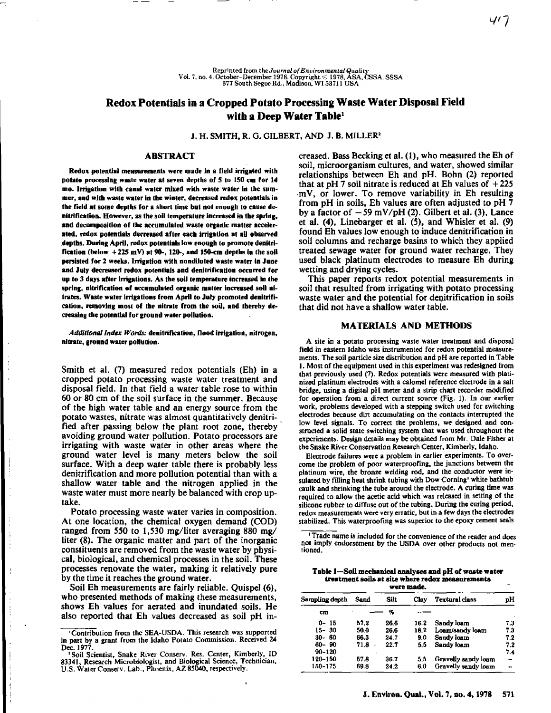# **Redox Potentials in a Cropped Potato Processing Waste Water Disposal Field with a Deep Water Table'**

J. H. SMITH, R. G. GILBERT, AND J. B. MILLER'

### **ABSTRACT**

**Redox potential measurements were made in a field irrigated with potato processing waste water at seven depths of 5 to 150 cm for 14 mo. Irrigation with canal water mixed with waste water in the summer, and with waste water in the winter, decreased redox potentials in the field at some depths for a short time but not enough to cause denitrification. However, as the soil temperature increased in the spring, and decomposition of the accumulated waste organic matter accelerated, redox potentials decreased after each irrigation at all observed depths. During April, redox potentials low enough to promote denitrification (below + 225 mV) at 90-, 120-, and 150-cm depths in the soil persisted for 2 weeks. Irrigation with nondiluted waste water in June and July decreased redox potentials and denitrification occurred for up to 3 days after irrigations. As the soil temperature increased in the** spring, nitrification of accumulated organic matter increased soil ni**trates. Waste water irrigations from April to July promoted denitrification, removing most of the nitrate from the soil, and thereby decreasing the potential for ground water pollution.**

*Additional Index Words:* **denitrification, flood irrigation, nitrogen, nitrate, ground water pollution.**

Smith et al. (7) measured redox potentials (Eh) in a cropped potato processing waste water treatment and disposal field. In that field a water table rose to within 60 or 80 cm of the soil surface in the summer. Because of the high water table and an energy source from the potato wastes, nitrate was almost quantitatively denitrified after passing below the plant root zone, thereby avoiding ground water pollution. Potato processors are irrigating with waste water in other areas where the ground water level is many meters below the soil surface. With a deep water table there is probably less denitrification and more pollution potential than with a shallow water table and the nitrogen applied in the waste water must more nearly be balanced with crop uptake.

Potato processing waste water varies in composition. At one location, the chemical oxygen demand (COD) ranged from 550 to 1,530 mg/liter averaging 880 mg/ liter (8). The organic matter and part of the inorganic constituents are removed from the waste water by physical, biological, and chemical processes in the soil. These processes renovate the water, making it relatively pure by the time it reaches the ground water.

Soil Eh measurements are fairly reliable. Quispel (6), who presented methods of making these measurements, shows Eh values for aerated and inundated soils. He also reported that Eh values decreased as soil pH increased. Bass Becking et al. (1), who measured the Eh of soil, microorganism cultures, and water, showed similar relationships between Eh and pH. Bohn (2) reported that at pH 7 soil nitrate is reduced at Eh values of  $+225$ .mV, or lower. To remove variability in Eh resulting from pH in soils, Eh values are often adjusted to pH  $\bar{7}$ by a factor of  $-59$  mV/pH (2). Gilbert et al. (3), Lance et al. (4), Linebarger et al. (5), and Whisler et al. (9) found Eh values low enough to induce denitrification in soil columns and recharge basins to which they applied treated sewage water for ground water recharge. They used black platinum electrodes to measure Eh during wetting and drying cycles.

This paper reports redox potential measurements in soil that resulted from irrigating with potato processing waste water and the potential for denitrification in soils that did not have a shallow water table.

## MATERIALS AND METHODS

A site in a potato processing waste water treatment and disposal field in eastern Idaho was instrumented for redox potential measurements. The soil particle size distribution and pH are reported in Table 1. Most of the equipment used in this experiment was redesigned from that previously used (7). Redox potentials were measured with platinized platinum electrodes with a calomel reference electrode in a salt bridge, using a digital pH meter and a strip chart recorder modified for operation from a direct current source (Fig. 1). In our earlier work, problems developed with a stepping switch used for switching electrodes because dirt accumulating on the contacts interrupted the low level signals. To correct the problems, we designed and constructed a solid state switching system that was used throughout the experiments. Design details may be obtained from Mr. Dale Fisher at the Snake River Conservation Research Center, Kimberly, Idaho.

Electrode failures were a problem in earlier experiments. To overcome the problem of poor waterproofing, the junctions between the platinum wire, the bronze welding rod, and the conductor were insulated by filling heat shrink tubing with Dow Corning' white bathtub caulk and shrinking the tube around the electrode. A curing time was required to allow the acetic acid which was released in setting of the silicone rubber to diffuse out of the tubing. During the curing period, redox measurements were very erratic, but in a few days the electrodes stabilized. This waterproofing was superior to the epoxy cement seals

' Trade name is included for the convenience of the reader and does not imply endorsement by the USDA over other products not mentioned.

## Table 1—Soil mechanical analyses and pH of waste water treatment soils at site where redox measurements

| were made.     |      |      |      |                       |                          |  |
|----------------|------|------|------|-----------------------|--------------------------|--|
| Sampling depth | Sand | Silt | Clav | <b>Textural class</b> | pН                       |  |
| cm             |      | %    |      |                       |                          |  |
| 0- 15          | 57.2 | 26.6 | 16.2 | Sandy loam            | 7.3                      |  |
| $15 - 30$      | 50.0 | 26.6 | 18.2 | Loam/sandy loam       | 7.3                      |  |
| $30 - 60$      | 66.3 | 24.7 | 9.0  | Sandy loam            | 7.2                      |  |
| 60-90          | 71.8 | 22.7 | 5.5  | Sandy loam            | 7.2                      |  |
| $90 - 120$     |      |      |      |                       | 7.4                      |  |
| 120-150        | 57.8 | 36.7 | 5.5  | Gravelly sandy loam   |                          |  |
| 150-175        | 69.8 | 24.2 | 6.0  | Gravelly sandy loam   | $\overline{\phantom{a}}$ |  |

<sup>&#</sup>x27; Contribution from the SEA-USDA. This research was supported in part by a grant from the Idaho Potato Commission. Received 24

Dec. 1977. 'Soil Scientist, Snake River Conserv. Res. Center, Kimberly, ID 83341, Research Microbiologist, and Biological Science, Technician, U.S. Water Conserv. Lab., Phoenix, AZ 85040, respectively.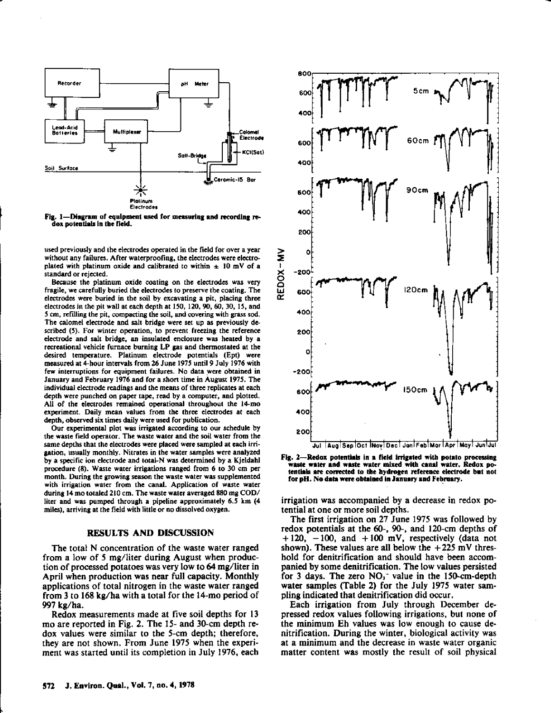

**Fig. 1—Diagram** of equipment **used for measuring and** recording redos potentials In the field.

used previously and the electrodes operated in the field for over a year without any failures. After waterproofing, the electrodes were electroplated with platinum oxide and calibrated to within  $\pm 10$  mV of a standard or rejected.

Because the platinum oxide coating on the electrodes was very fragile, we carefully buried the electrodes to preserve the coating. The electrodes were buried in the soil by excavating a pit, placing three electrodes in the pit wall at each depth at 150, 120, 90, 60, 30, 15, and 5 cm, refilling the pit, compacting the soil, and covering with grass sod. The calomel electrode and salt bridge were *set* up as previously described (5). For winter operation, to prevent freezing the reference electrode and salt bridge, an insulated enclosure was heated by a recreational vehicle furnace burning LP gas and thermostated at the desired temperature. Platinum electrode potentials (Ept) were measured at 4-hour intervals from 26 June 1975 until 9 July 1976 with few interruptions for equipment failures. No data were obtained in January and February 1976 and for a short time in August 1975. The individual electrode readings and the means of three replicates at each depth were punched on paper tape, read by a computer, and plotted. All of the electrodes remained operational throughout the 14-mo experiment. Daily mean values from the three electrodes at each depth, observed six times daily were used for publication.

Our experimental plot was irrigated according to our schedule by the waste field operator. The waste water and the soil water from the same depths that the electrodes were placed were sampled at each irrigation, usually monthly. Nitrates in the water samples were analyzed by a specific ion electrode and total-N was determined by a Kjeldahl procedure (8). Waste water irrigations ranged from 6 to 30 cm per month. During the growing season the waste water was supplemented with irrigation water from the canal. Application of waste water during 14 mo totaled 210 cm. The waste water averaged 880 mg COD/ liter and was pumped through a pipeline approximately 6.5 km (4 miles), arriving at the field with little or no dissolved oxygen.

## **RESULTS AND DISCUSSION**

The total N concentration of the waste water ranged from a low of 5 mg/liter during August when production of processed potatoes was very low to 64 mg/liter in April when production was near full capacity. Monthly applications of total nitrogen in the waste water ranged from 3 to 168 kg/ha with a total for the 14-mo period of 997 kg/ha.

Redox measurements made at five soil depths for 13 mo are reported in Fig. 2. The 15- and 30-cm depth redox values were similar to the 5-cm depth; therefore, they are not shown. From June 1975 when the experiment was started until its completion in July 1976, each



**Fig. 2—Redox potentiab In a field irrigated with potato processing waste water and waste water mixed with canal water. Redox potentials are corrected to the hydrogen reference electrode bet not for pH. No data were obtained in January and February.**

irrigation *was* accompanied by a decrease in redox potential at one or more soil depths.

The first irrigation on 27 June 1975 was followed by redox potentials at the 60-, 90-, and 120-cm depths of  $+120$ ,  $-100$ , and  $+100$  mV, respectively (data not shown). These values are all below the  $+225$  mV threshold for denitrification and should have been accompanied by some denitrification. The low values persisted for 3 days. The zero  $NO_1$ <sup>-</sup> value in the 150-cm-depth water samples (Table 2) for the July 1975 water sampling indicated that denitrification did occur.

Each irrigation from July through December depressed redox values following irrigations, but none of the minimum Eh values was low enough to cause denitrification. During the winter, biological activity was at a minimum and the decrease in waste water organic matter content was mostly the result of soil physical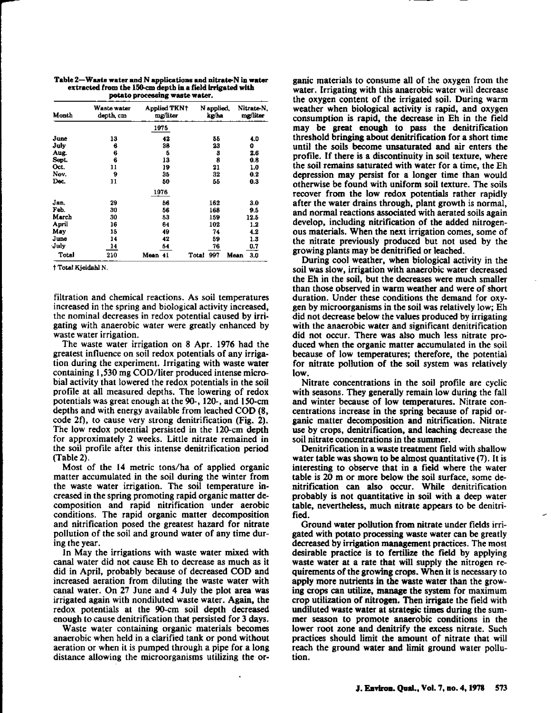**Table 2—Waste water and N** applications **and nitrateN in water extracted from the 150-cm depth in a field irrigated with potato processing waste water.**

| Month | Waste water<br>depth, cm | Applied TKN†<br>mg/liter | N applied,<br>kg/ha | Nitrate N.<br>mg/liter |
|-------|--------------------------|--------------------------|---------------------|------------------------|
|       |                          | 1975                     |                     |                        |
| June  | 13                       | 42                       | 55                  | 4.0                    |
| July  | 6                        | 38                       | 23                  | 0                      |
| Aug.  | 6                        | Б                        | 3                   | 2.6                    |
| Sept. | 6                        | 13                       | 8                   | 0.8                    |
| Oct.  | 11                       | 19                       | 21                  | 1.0                    |
| Nov.  | 9                        | 35                       | 32                  | 0.2                    |
| Dec.  | 11                       | 50                       | 55                  | 0.3                    |
|       |                          | 1976                     |                     |                        |
| Jan.  | 29                       | 56                       | 162                 | 3.0                    |
| Feb.  | 30                       | 56                       | 168                 | 9.5                    |
| March | 30                       | 53                       | 159                 | 12.5                   |
| April | 16                       | 64                       | 102                 | 1.2                    |
| May   | 15                       | 49                       | 74                  | 42                     |
| June  | 14                       | 42                       | 59                  | 1.3                    |
| July  | 14                       | 54                       | 76                  | 0.7                    |
| Total | 210                      | Mean 41                  | 997<br>Total        | 3.0<br>Mean            |

**t Total Kjeldahl N.**

filtration and chemical reactions. As **soil temperatures** increased in the spring and biological activity increased, the nominal decreases in redox potential caused by irrigating with anaerobic water were greatly enhanced by waste water irrigation.

The waste water irrigation on 8 Apr. 1976 had the greatest influence on soil redox potentials of any irrigation during the **experiment.** Irrigating with waste water containing 1,530 mg COD/liter produced intense microbial activity that lowered the redox potentials in the soil profile at all **measured** depths. The lowering of redox potentials was great enough at the 90-, 120-, and 150-cm depths and with energy available from leached COD (8, code 21), to cause very strong denitrification (Fig. 2). The low redox potential persisted in the 120-cm depth for approximately 2 weeks. Little nitrate remained in the soil profile after this intense denitrification period (Table 2).

Most of the 14 metric tons/ha of applied organic matter accumulated in the soil during the winter from the waste water irrigation. The soil temperature increased in the spring promoting rapid organic matter decomposition and rapid nitrification under aerobic conditions. The rapid organic matter decomposition and nitrification posed the greatest hazard for nitrate pollution of the soil and ground water of any time during the year.

In May the irrigations with waste water mixed with canal water did not cause Eh to decrease *as* much as it did in April, probably because of decreased COD and increased aeration from diluting the waste water with canal water. On 27 June and 4 July the plot area was irrigated again with nondiluted waste water. Again, the redox potentials at the 90-cm soil depth decreased enough to cause denitrification that persisted for 3 days.

Waste water containing organic materials becomes anaerobic when held in a clarified tank or pond without aeration or when it *is* pumped through a pipe for a long distance allowing the microorganisms utilizing the organic materials to consume all of the oxygen from the water. Irrigating with this anaerobic water will decrease the oxygen content of the irrigated soil. During warm weather when biological activity is rapid, and oxygen consumption is rapid, the decrease in Eh in the field may be great enough to pass the denitrification threshold bringing about denitrification for a short time until the soils become unsaturated and air enters the profile. If there is a discontinuity in soil texture, where the soil remains saturated with water for a time, the Eh depression may persist for a longer time than would otherwise be found with uniform soil texture. The soils recover from the low redox potentials rather rapidly after the water drains through, plant growth is normal, and normal reactions associated with aerated soils again develop, including nitrification of the added nitrogenous materials. When the next irrigation comes, some of the nitrate previously produced but not used by the growing plants may be denitrified or leached.

During cool weather, when biological activity in the soil was slow, irrigation with anaerobic water decreased the Eh in the soil, but the decreases were much smaller than those observed in warm weather and were of short duration. Under these conditions the demand for oxygen by microorganisms in the soil was relatively low; Eh did not decrease below the values produced by irrigating with the anaerobic water and significant denitrification did not occur. There was also much less nitrate produced when the organic matter accumulated in the soil because of low temperatures; therefore, the potential for nitrate pollution of the soil system was relatively low.

Nitrate concentrations in the soil profile are cyclic with seasons. They generally remain low during the fall and winter because of low temperatures. Nitrate concentrations increase in the spring because of rapid organic matter decomposition and nitrification. Nitrate use by crops, denitrification, and leaching decrease the soil nitrate concentrations in the summer.

Denitrification in a waste treatment field with shallow water table was shown to be almost quantitative (7). It is interesting to observe that in a field where the water table is 20 m or more below the soil surface, some denitrification can also occur. While denitrification probably is not quantitative in soil with a deep water table, nevertheless, much nitrate appears to be denitrified.

Ground water pollution from nitrate under fields irrigated with potato processing waste water can be greatly decreased by irrigation management practices. The most desirable practice is to fertilize the field by applying waste water at a rate that will supply the nitrogen requirements of the growing crops. When it is necessary to apply more nutrients in the waste water than the growing crops can utilize, manage the system for maximum crop utilization of nitrogen. Then irrigate the field with undiluted waste water at strategic times during the summer season to promote anaerobic conditions in the lower root zone and denitrify the excess nitrate. Such practices should limit the amount of nitrate that will reach the ground water and limit ground water pollution.